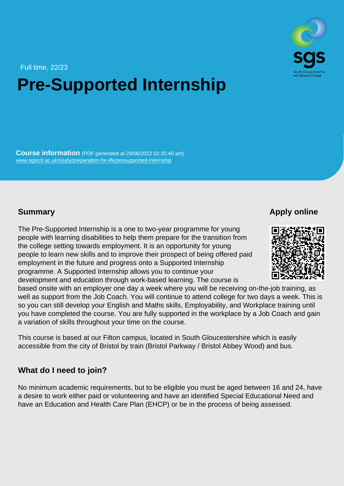Full time, 22/23

## Pre-Supported Internship

Course information (PDF generated at 29/06/2022 02:35:40 am) [www.sgscol.ac.uk/study/preparation-for-life/presupported-internship](https://www.sgscol.ac.uk/study/preparation-for-life/presupported-internship)

## **Summary**

Apply online

The Pre-Supported Internship is a one to two-year programme for young people with learning disabilities to help them prepare for the transition from the college setting towards employment. It is an opportunity for young people to learn new skills and to improve their prospect of being offered paid employment in the future and progress onto a Supported Internship programme. A Supported Internship allows you to continue your development and education through work-based learning. The course is based onsite with an employer one day a week where you will be receiving on-the-job training, as well as support from the Job Coach. You will continue to attend college for two days a week. This is so you can still develop your English and Maths skills, Employability, and Workplace training until you have completed the course. You are fully supported in the workplace by a Job Coach and gain a variation of skills throughout your time on the course.

This course is based at our Filton campus, located in South Gloucestershire which is easily accessible from the city of Bristol by train (Bristol Parkway / Bristol Abbey Wood) and bus.

## What do I need to join?

No minimum academic requirements, but to be eligible you must be aged between 16 and 24, have a desire to work either paid or volunteering and have an identified Special Educational Need and have an Education and Health Care Plan (EHCP) or be in the process of being assessed.